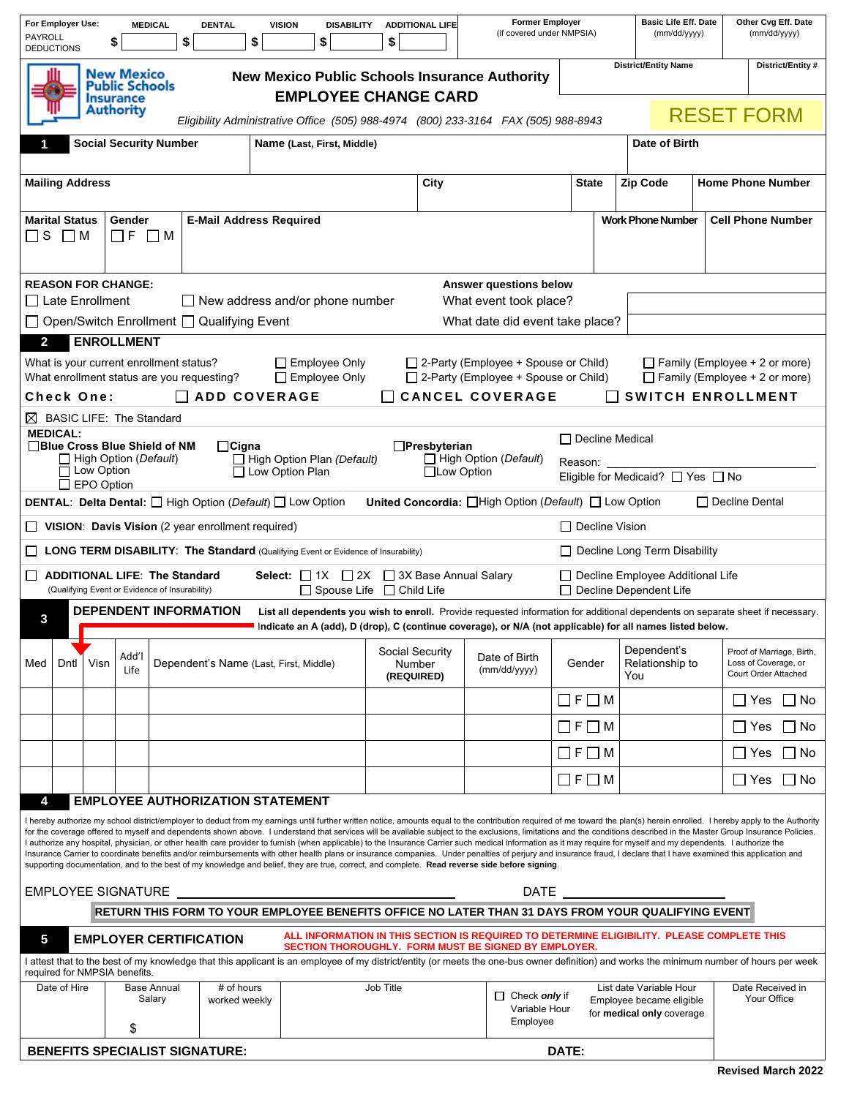| PAYROLL                                                                                                                                                                                                                                                                                                                        | For Employer Use:<br><b>DEDUCTIONS</b>                                                                                                                                                                                                                                                                                                                                                                                                                                                                                                                                                                                                                                                                                                                                                                                                                                                                                                                                                                                                                                                         |      | \$                                | <b>MEDICAL</b><br>\$         | <b>DENTAL</b><br>\$                                                                      | <b>VISION</b> | <b>DISABILITY</b><br>\$ | \$                                             | <b>ADDITIONAL LIFE</b> | <b>Former Employer</b><br>(if covered under NMPSIA)                                                                                                                                                                                          |                         |               | <b>Basic Life Eff. Date</b><br>(mm/dd/yyyy)                                      |                          | Other Cvg Eff. Date<br>(mm/dd/yyyy)                                       |  |
|--------------------------------------------------------------------------------------------------------------------------------------------------------------------------------------------------------------------------------------------------------------------------------------------------------------------------------|------------------------------------------------------------------------------------------------------------------------------------------------------------------------------------------------------------------------------------------------------------------------------------------------------------------------------------------------------------------------------------------------------------------------------------------------------------------------------------------------------------------------------------------------------------------------------------------------------------------------------------------------------------------------------------------------------------------------------------------------------------------------------------------------------------------------------------------------------------------------------------------------------------------------------------------------------------------------------------------------------------------------------------------------------------------------------------------------|------|-----------------------------------|------------------------------|------------------------------------------------------------------------------------------|---------------|-------------------------|------------------------------------------------|------------------------|----------------------------------------------------------------------------------------------------------------------------------------------------------------------------------------------------------------------------------------------|-------------------------|---------------|----------------------------------------------------------------------------------|--------------------------|---------------------------------------------------------------------------|--|
| <b>District/Entity Name</b><br>New Mexico<br><b>New Mexico Public Schools Insurance Authority</b><br>Public Schools<br><b>EMPLOYEE CHANGE CARD</b><br><b>Insurance</b>                                                                                                                                                         |                                                                                                                                                                                                                                                                                                                                                                                                                                                                                                                                                                                                                                                                                                                                                                                                                                                                                                                                                                                                                                                                                                |      |                                   |                              |                                                                                          |               |                         |                                                |                        |                                                                                                                                                                                                                                              |                         |               |                                                                                  | District/Entity #        |                                                                           |  |
|                                                                                                                                                                                                                                                                                                                                |                                                                                                                                                                                                                                                                                                                                                                                                                                                                                                                                                                                                                                                                                                                                                                                                                                                                                                                                                                                                                                                                                                |      | <b>Authority</b>                  |                              |                                                                                          |               |                         |                                                |                        | Eligibility Administrative Office (505) 988-4974 (800) 233-3164 FAX (505) 988-8943                                                                                                                                                           |                         |               |                                                                                  |                          | <b>RESET FORM</b>                                                         |  |
| <b>Social Security Number</b><br>Name (Last, First, Middle)                                                                                                                                                                                                                                                                    |                                                                                                                                                                                                                                                                                                                                                                                                                                                                                                                                                                                                                                                                                                                                                                                                                                                                                                                                                                                                                                                                                                |      |                                   |                              |                                                                                          |               |                         |                                                |                        |                                                                                                                                                                                                                                              |                         | Date of Birth |                                                                                  |                          |                                                                           |  |
|                                                                                                                                                                                                                                                                                                                                | <b>Mailing Address</b>                                                                                                                                                                                                                                                                                                                                                                                                                                                                                                                                                                                                                                                                                                                                                                                                                                                                                                                                                                                                                                                                         |      |                                   |                              |                                                                                          |               | City                    |                                                |                        |                                                                                                                                                                                                                                              | <b>State</b>            |               | <b>Zip Code</b>                                                                  | <b>Home Phone Number</b> |                                                                           |  |
|                                                                                                                                                                                                                                                                                                                                | <b>Marital Status</b><br>$\square$ S $\square$ M                                                                                                                                                                                                                                                                                                                                                                                                                                                                                                                                                                                                                                                                                                                                                                                                                                                                                                                                                                                                                                               |      | Gender<br>$\square$ f $\square$ M |                              | <b>E-Mail Address Required</b>                                                           |               |                         |                                                |                        |                                                                                                                                                                                                                                              |                         |               | <b>Work Phone Number</b>                                                         |                          | <b>Cell Phone Number</b>                                                  |  |
|                                                                                                                                                                                                                                                                                                                                | <b>REASON FOR CHANGE:</b><br>Answer questions below                                                                                                                                                                                                                                                                                                                                                                                                                                                                                                                                                                                                                                                                                                                                                                                                                                                                                                                                                                                                                                            |      |                                   |                              |                                                                                          |               |                         |                                                |                        |                                                                                                                                                                                                                                              |                         |               |                                                                                  |                          |                                                                           |  |
| $\Box$ Late Enrollment<br>$\Box$ New address and/or phone number<br>What event took place?                                                                                                                                                                                                                                     |                                                                                                                                                                                                                                                                                                                                                                                                                                                                                                                                                                                                                                                                                                                                                                                                                                                                                                                                                                                                                                                                                                |      |                                   |                              |                                                                                          |               |                         |                                                |                        |                                                                                                                                                                                                                                              |                         |               |                                                                                  |                          |                                                                           |  |
| $\Box$ Open/Switch Enrollment $\Box$ Qualifying Event<br>What date did event take place?                                                                                                                                                                                                                                       |                                                                                                                                                                                                                                                                                                                                                                                                                                                                                                                                                                                                                                                                                                                                                                                                                                                                                                                                                                                                                                                                                                |      |                                   |                              |                                                                                          |               |                         |                                                |                        |                                                                                                                                                                                                                                              |                         |               |                                                                                  |                          |                                                                           |  |
| $\mathbf{2}$                                                                                                                                                                                                                                                                                                                   | <b>ENROLLMENT</b>                                                                                                                                                                                                                                                                                                                                                                                                                                                                                                                                                                                                                                                                                                                                                                                                                                                                                                                                                                                                                                                                              |      |                                   |                              |                                                                                          |               |                         |                                                |                        |                                                                                                                                                                                                                                              |                         |               |                                                                                  |                          |                                                                           |  |
| What is your current enrollment status?<br>$\Box$ Employee Only<br>$\Box$ 2-Party (Employee + Spouse or Child)<br>$\Box$ Family (Employee + 2 or more)<br>What enrollment status are you requesting?<br>$\Box$ 2-Party (Employee + Spouse or Child)<br>$\Box$ Family (Employee + 2 or more)<br>$\Box$ Employee Only            |                                                                                                                                                                                                                                                                                                                                                                                                                                                                                                                                                                                                                                                                                                                                                                                                                                                                                                                                                                                                                                                                                                |      |                                   |                              |                                                                                          |               |                         |                                                |                        |                                                                                                                                                                                                                                              |                         |               |                                                                                  |                          |                                                                           |  |
| <b>CANCEL COVERAGE</b><br>Check One:<br>$\Box$ ADD COVERAGE<br><b>SWITCH ENROLLMENT</b>                                                                                                                                                                                                                                        |                                                                                                                                                                                                                                                                                                                                                                                                                                                                                                                                                                                                                                                                                                                                                                                                                                                                                                                                                                                                                                                                                                |      |                                   |                              |                                                                                          |               |                         |                                                |                        |                                                                                                                                                                                                                                              |                         |               |                                                                                  |                          |                                                                           |  |
| $\boxtimes$ BASIC LIFE: The Standard                                                                                                                                                                                                                                                                                           |                                                                                                                                                                                                                                                                                                                                                                                                                                                                                                                                                                                                                                                                                                                                                                                                                                                                                                                                                                                                                                                                                                |      |                                   |                              |                                                                                          |               |                         |                                                |                        |                                                                                                                                                                                                                                              |                         |               |                                                                                  |                          |                                                                           |  |
|                                                                                                                                                                                                                                                                                                                                | <b>MEDICAL:</b>                                                                                                                                                                                                                                                                                                                                                                                                                                                                                                                                                                                                                                                                                                                                                                                                                                                                                                                                                                                                                                                                                |      |                                   |                              |                                                                                          |               |                         |                                                |                        |                                                                                                                                                                                                                                              | $\Box$ Decline Medical  |               |                                                                                  |                          |                                                                           |  |
| □Blue Cross Blue Shield of NM<br>$\Box$ Cigna<br>$\Box$ Presbyterian<br>$\Box$ High Option Plan (Default)<br>$\Box$ High Option ( <i>Default</i> )<br>$\Box$ High Option ( <i>Default</i> )<br>Reason:<br>$\Box$ Low Option<br>$\Box$ Low Option Plan<br>□Low Option<br>Eligible for Medicaid? □ Yes □ No<br>$\Box$ EPO Option |                                                                                                                                                                                                                                                                                                                                                                                                                                                                                                                                                                                                                                                                                                                                                                                                                                                                                                                                                                                                                                                                                                |      |                                   |                              |                                                                                          |               |                         |                                                |                        |                                                                                                                                                                                                                                              |                         |               |                                                                                  |                          |                                                                           |  |
|                                                                                                                                                                                                                                                                                                                                |                                                                                                                                                                                                                                                                                                                                                                                                                                                                                                                                                                                                                                                                                                                                                                                                                                                                                                                                                                                                                                                                                                |      |                                   |                              |                                                                                          |               |                         |                                                |                        |                                                                                                                                                                                                                                              |                         |               |                                                                                  |                          |                                                                           |  |
|                                                                                                                                                                                                                                                                                                                                | <b>DENTAL: Delta Dental:</b> □ High Option (Default) □ Low Option<br><b>United Concordia:</b> High Option (Default) □ Low Option<br>$\Box$ Decline Dental<br>$\Box$ VISION: Davis Vision (2 year enrollment required)<br>$\Box$ Decline Vision                                                                                                                                                                                                                                                                                                                                                                                                                                                                                                                                                                                                                                                                                                                                                                                                                                                 |      |                                   |                              |                                                                                          |               |                         |                                                |                        |                                                                                                                                                                                                                                              |                         |               |                                                                                  |                          |                                                                           |  |
|                                                                                                                                                                                                                                                                                                                                |                                                                                                                                                                                                                                                                                                                                                                                                                                                                                                                                                                                                                                                                                                                                                                                                                                                                                                                                                                                                                                                                                                |      |                                   |                              |                                                                                          |               |                         |                                                |                        |                                                                                                                                                                                                                                              |                         |               |                                                                                  |                          |                                                                           |  |
| ப                                                                                                                                                                                                                                                                                                                              |                                                                                                                                                                                                                                                                                                                                                                                                                                                                                                                                                                                                                                                                                                                                                                                                                                                                                                                                                                                                                                                                                                |      |                                   |                              | <b>LONG TERM DISABILITY: The Standard (Qualifying Event or Evidence of Insurability)</b> |               |                         |                                                |                        |                                                                                                                                                                                                                                              |                         |               | Decline Long Term Disability                                                     |                          |                                                                           |  |
| <b>Select:</b> $\Box$ 1X $\Box$ 2X $\Box$ 3X Base Annual Salary<br>$\Box$<br><b>ADDITIONAL LIFE: The Standard</b><br>□ Decline Employee Additional Life<br>□ Spouse Life □ Child Life<br>(Qualifying Event or Evidence of Insurability)<br>$\Box$ Decline Dependent Life                                                       |                                                                                                                                                                                                                                                                                                                                                                                                                                                                                                                                                                                                                                                                                                                                                                                                                                                                                                                                                                                                                                                                                                |      |                                   |                              |                                                                                          |               |                         |                                                |                        |                                                                                                                                                                                                                                              |                         |               |                                                                                  |                          |                                                                           |  |
| 3                                                                                                                                                                                                                                                                                                                              |                                                                                                                                                                                                                                                                                                                                                                                                                                                                                                                                                                                                                                                                                                                                                                                                                                                                                                                                                                                                                                                                                                |      |                                   |                              | <b>DEPENDENT INFORMATION</b>                                                             |               |                         |                                                |                        | List all dependents you wish to enroll. Provide requested information for additional dependents on separate sheet if necessary.<br>Indicate an A (add), D (drop), C (continue coverage), or N/A (not applicable) for all names listed below. |                         |               |                                                                                  |                          |                                                                           |  |
| Med                                                                                                                                                                                                                                                                                                                            | Dntl                                                                                                                                                                                                                                                                                                                                                                                                                                                                                                                                                                                                                                                                                                                                                                                                                                                                                                                                                                                                                                                                                           | Visn | Add'l<br>Life                     |                              | Dependent's Name (Last, First, Middle)                                                   |               |                         | Social Security<br><b>Number</b><br>(REQUIRED) |                        | Date of Birth<br>(mm/dd/yyyy)                                                                                                                                                                                                                | Gender                  | You           | Dependent's<br>Relationship to                                                   |                          | Proof of Marriage, Birth,<br>Loss of Coverage, or<br>Court Order Attached |  |
|                                                                                                                                                                                                                                                                                                                                |                                                                                                                                                                                                                                                                                                                                                                                                                                                                                                                                                                                                                                                                                                                                                                                                                                                                                                                                                                                                                                                                                                |      |                                   |                              |                                                                                          |               |                         |                                                |                        |                                                                                                                                                                                                                                              | $\Box$ F $\Box$ M       |               |                                                                                  |                          | ∐ Yes<br>l I No                                                           |  |
|                                                                                                                                                                                                                                                                                                                                |                                                                                                                                                                                                                                                                                                                                                                                                                                                                                                                                                                                                                                                                                                                                                                                                                                                                                                                                                                                                                                                                                                |      |                                   |                              |                                                                                          |               |                         |                                                |                        |                                                                                                                                                                                                                                              | $\square$ F $\square$ M |               |                                                                                  |                          | $\Box$ Yes<br>l No                                                        |  |
|                                                                                                                                                                                                                                                                                                                                |                                                                                                                                                                                                                                                                                                                                                                                                                                                                                                                                                                                                                                                                                                                                                                                                                                                                                                                                                                                                                                                                                                |      |                                   |                              |                                                                                          |               |                         |                                                |                        |                                                                                                                                                                                                                                              | $\Box$ F $\Box$ M       |               |                                                                                  |                          | l I No<br>l IYes                                                          |  |
|                                                                                                                                                                                                                                                                                                                                |                                                                                                                                                                                                                                                                                                                                                                                                                                                                                                                                                                                                                                                                                                                                                                                                                                                                                                                                                                                                                                                                                                |      |                                   |                              |                                                                                          |               |                         |                                                |                        |                                                                                                                                                                                                                                              | $\Box$ F $\Box$ M       |               |                                                                                  |                          | □ No<br>l I Yes                                                           |  |
| 4                                                                                                                                                                                                                                                                                                                              | <b>EMPLOYEE AUTHORIZATION STATEMENT</b><br>I hereby authorize my school district/employer to deduct from my earnings until further written notice, amounts equal to the contribution required of me toward the plan(s) herein enrolled. I hereby apply to the Authority<br>for the coverage offered to myself and dependents shown above. I understand that services will be available subject to the exclusions, limitations and the conditions described in the Master Group Insurance Policies.<br>I authorize any hospital, physician, or other health care provider to furnish (when applicable) to the Insurance Carrier such medical information as it may require for myself and my dependents. I authorize the<br>Insurance Carrier to coordinate benefits and/or reimbursements with other health plans or insurance companies. Under penalties of perjury and insurance fraud, I declare that I have examined this application and<br>supporting documentation, and to the best of my knowledge and belief, they are true, correct, and complete. Read reverse side before signing. |      |                                   |                              |                                                                                          |               |                         |                                                |                        |                                                                                                                                                                                                                                              |                         |               |                                                                                  |                          |                                                                           |  |
|                                                                                                                                                                                                                                                                                                                                |                                                                                                                                                                                                                                                                                                                                                                                                                                                                                                                                                                                                                                                                                                                                                                                                                                                                                                                                                                                                                                                                                                |      |                                   | <b>EMPLOYEE SIGNATURE</b>    |                                                                                          |               |                         |                                                |                        |                                                                                                                                                                                                                                              | <b>DATE</b>             |               |                                                                                  |                          |                                                                           |  |
|                                                                                                                                                                                                                                                                                                                                |                                                                                                                                                                                                                                                                                                                                                                                                                                                                                                                                                                                                                                                                                                                                                                                                                                                                                                                                                                                                                                                                                                |      |                                   |                              |                                                                                          |               |                         |                                                |                        | RETURN THIS FORM TO YOUR EMPLOYEE BENEFITS OFFICE NO LATER THAN 31 DAYS FROM YOUR QUALIFYING EVENT                                                                                                                                           |                         |               |                                                                                  |                          |                                                                           |  |
| 5                                                                                                                                                                                                                                                                                                                              |                                                                                                                                                                                                                                                                                                                                                                                                                                                                                                                                                                                                                                                                                                                                                                                                                                                                                                                                                                                                                                                                                                |      |                                   |                              | <b>EMPLOYER CERTIFICATION</b>                                                            |               |                         |                                                |                        | ALL INFORMATION IN THIS SECTION IS REQUIRED TO DETERMINE ELIGIBILITY. PLEASE COMPLETE THIS<br>SECTION THOROUGHLY. FORM MUST BE SIGNED BY EMPLOYER.                                                                                           |                         |               |                                                                                  |                          |                                                                           |  |
|                                                                                                                                                                                                                                                                                                                                |                                                                                                                                                                                                                                                                                                                                                                                                                                                                                                                                                                                                                                                                                                                                                                                                                                                                                                                                                                                                                                                                                                |      | required for NMPSIA benefits.     |                              |                                                                                          |               |                         |                                                |                        | I attest that to the best of my knowledge that this applicant is an employee of my district/entity (or meets the one-bus owner definition) and works the minimum number of hours per week                                                    |                         |               |                                                                                  |                          |                                                                           |  |
|                                                                                                                                                                                                                                                                                                                                | Date of Hire                                                                                                                                                                                                                                                                                                                                                                                                                                                                                                                                                                                                                                                                                                                                                                                                                                                                                                                                                                                                                                                                                   |      |                                   | <b>Base Annual</b><br>Salary | # of hours<br>worked weekly                                                              |               |                         | Job Title                                      |                        | $\Box$ Check only if<br>Variable Hour<br>Employee                                                                                                                                                                                            |                         |               | List date Variable Hour<br>Employee became eligible<br>for medical only coverage |                          | Date Received in<br>Your Office                                           |  |
|                                                                                                                                                                                                                                                                                                                                |                                                                                                                                                                                                                                                                                                                                                                                                                                                                                                                                                                                                                                                                                                                                                                                                                                                                                                                                                                                                                                                                                                |      | \$                                |                              |                                                                                          |               |                         |                                                |                        |                                                                                                                                                                                                                                              |                         |               |                                                                                  |                          |                                                                           |  |
|                                                                                                                                                                                                                                                                                                                                |                                                                                                                                                                                                                                                                                                                                                                                                                                                                                                                                                                                                                                                                                                                                                                                                                                                                                                                                                                                                                                                                                                |      |                                   |                              | <b>BENEFITS SPECIALIST SIGNATURE:</b>                                                    |               |                         |                                                |                        |                                                                                                                                                                                                                                              | DATE:                   |               |                                                                                  |                          |                                                                           |  |